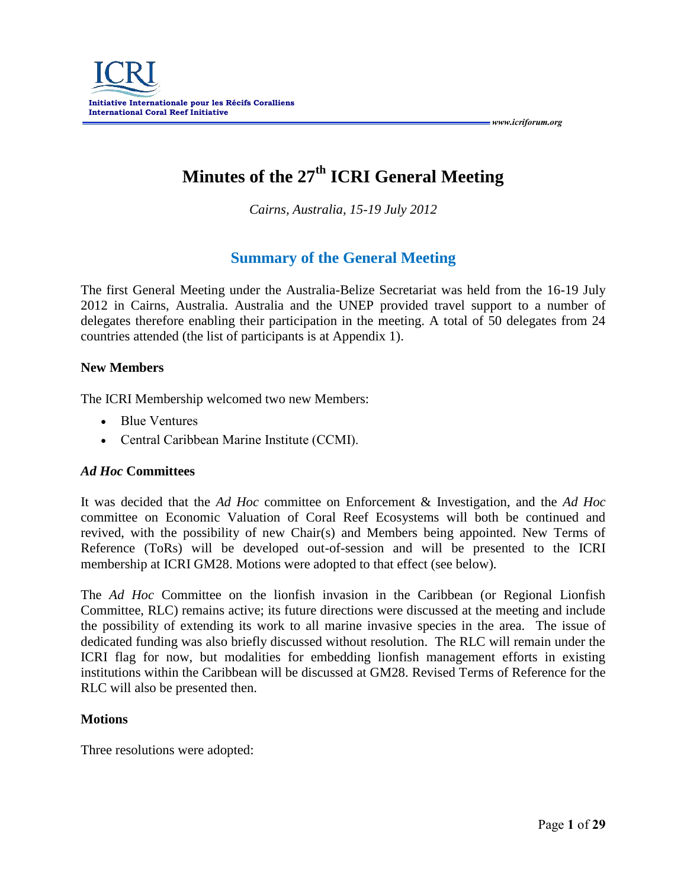# **Minutes of the 27th ICRI General Meeting**

*Cairns, Australia, 15-19 July 2012*

# **Summary of the General Meeting**

The first General Meeting under the Australia-Belize Secretariat was held from the 16-19 July 2012 in Cairns, Australia. Australia and the UNEP provided travel support to a number of delegates therefore enabling their participation in the meeting. A total of 50 delegates from 24 countries attended (the list of participants is at Appendix 1).

#### **New Members**

The ICRI Membership welcomed two new Members:

- Blue Ventures
- Central Caribbean Marine Institute (CCMI).

#### *Ad Hoc* **Committees**

It was decided that the *Ad Hoc* committee on Enforcement & Investigation, and the *Ad Hoc* committee on Economic Valuation of Coral Reef Ecosystems will both be continued and revived, with the possibility of new Chair(s) and Members being appointed. New Terms of Reference (ToRs) will be developed out-of-session and will be presented to the ICRI membership at ICRI GM28. Motions were adopted to that effect (see below).

The *Ad Hoc* Committee on the lionfish invasion in the Caribbean (or Regional Lionfish Committee, RLC) remains active; its future directions were discussed at the meeting and include the possibility of extending its work to all marine invasive species in the area. The issue of dedicated funding was also briefly discussed without resolution. The RLC will remain under the ICRI flag for now, but modalities for embedding lionfish management efforts in existing institutions within the Caribbean will be discussed at GM28. Revised Terms of Reference for the RLC will also be presented then.

#### **Motions**

Three resolutions were adopted: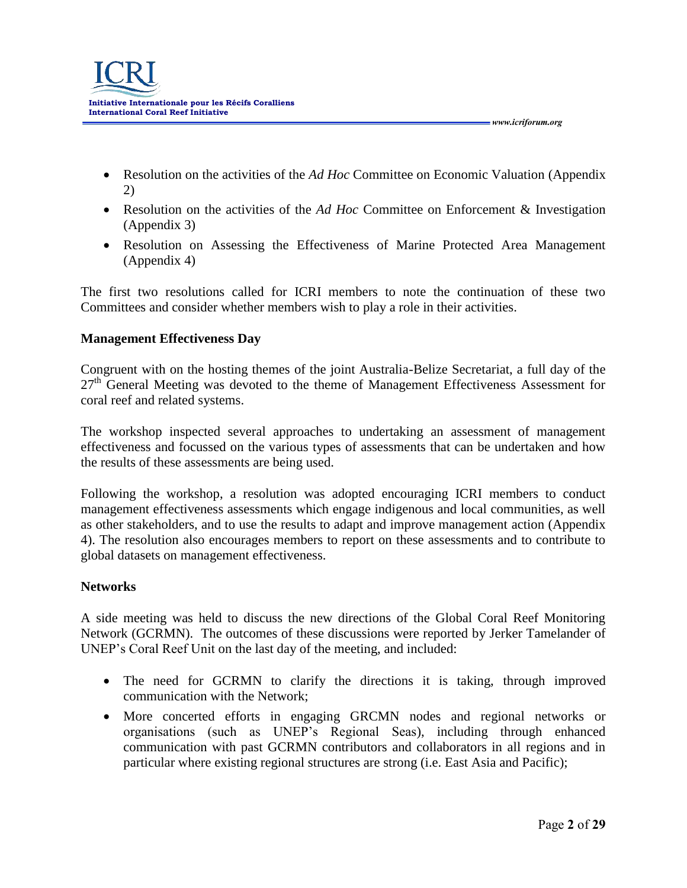

 Resolution on the activities of the *Ad Hoc* Committee on Economic Valuation (Appendix 2)

 *www.icriforum.org* 

- Resolution on the activities of the *Ad Hoc* Committee on Enforcement & Investigation (Appendix 3)
- Resolution on Assessing the Effectiveness of Marine Protected Area Management (Appendix 4)

The first two resolutions called for ICRI members to note the continuation of these two Committees and consider whether members wish to play a role in their activities.

#### **Management Effectiveness Day**

Congruent with on the hosting themes of the joint Australia-Belize Secretariat, a full day of the  $27<sup>th</sup>$  General Meeting was devoted to the theme of Management Effectiveness Assessment for coral reef and related systems.

The workshop inspected several approaches to undertaking an assessment of management effectiveness and focussed on the various types of assessments that can be undertaken and how the results of these assessments are being used.

Following the workshop, a resolution was adopted encouraging ICRI members to conduct management effectiveness assessments which engage indigenous and local communities, as well as other stakeholders, and to use the results to adapt and improve management action (Appendix 4). The resolution also encourages members to report on these assessments and to contribute to global datasets on management effectiveness.

#### **Networks**

A side meeting was held to discuss the new directions of the Global Coral Reef Monitoring Network (GCRMN). The outcomes of these discussions were reported by Jerker Tamelander of UNEP's Coral Reef Unit on the last day of the meeting, and included:

- The need for GCRMN to clarify the directions it is taking, through improved communication with the Network;
- More concerted efforts in engaging GRCMN nodes and regional networks or organisations (such as UNEP's Regional Seas), including through enhanced communication with past GCRMN contributors and collaborators in all regions and in particular where existing regional structures are strong (i.e. East Asia and Pacific);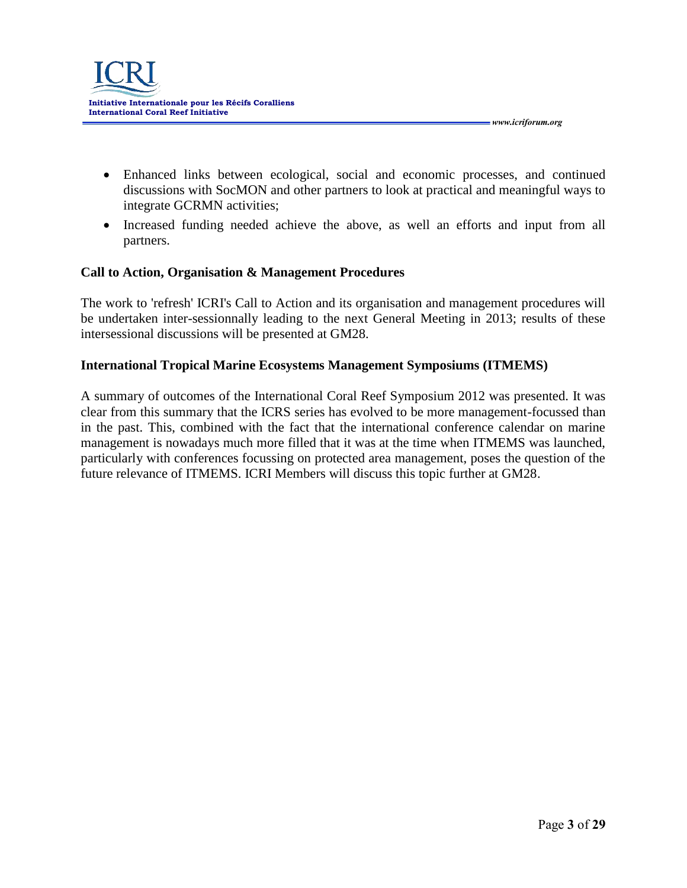

 Enhanced links between ecological, social and economic processes, and continued discussions with SocMON and other partners to look at practical and meaningful ways to integrate GCRMN activities;

 *www.icriforum.org* 

• Increased funding needed achieve the above, as well an efforts and input from all partners.

#### **Call to Action, Organisation & Management Procedures**

The work to 'refresh' ICRI's Call to Action and its organisation and management procedures will be undertaken inter-sessionnally leading to the next General Meeting in 2013; results of these intersessional discussions will be presented at GM28.

#### **International Tropical Marine Ecosystems Management Symposiums (ITMEMS)**

A summary of outcomes of the International Coral Reef Symposium 2012 was presented. It was clear from this summary that the ICRS series has evolved to be more management-focussed than in the past. This, combined with the fact that the international conference calendar on marine management is nowadays much more filled that it was at the time when ITMEMS was launched, particularly with conferences focussing on protected area management, poses the question of the future relevance of ITMEMS. ICRI Members will discuss this topic further at GM28.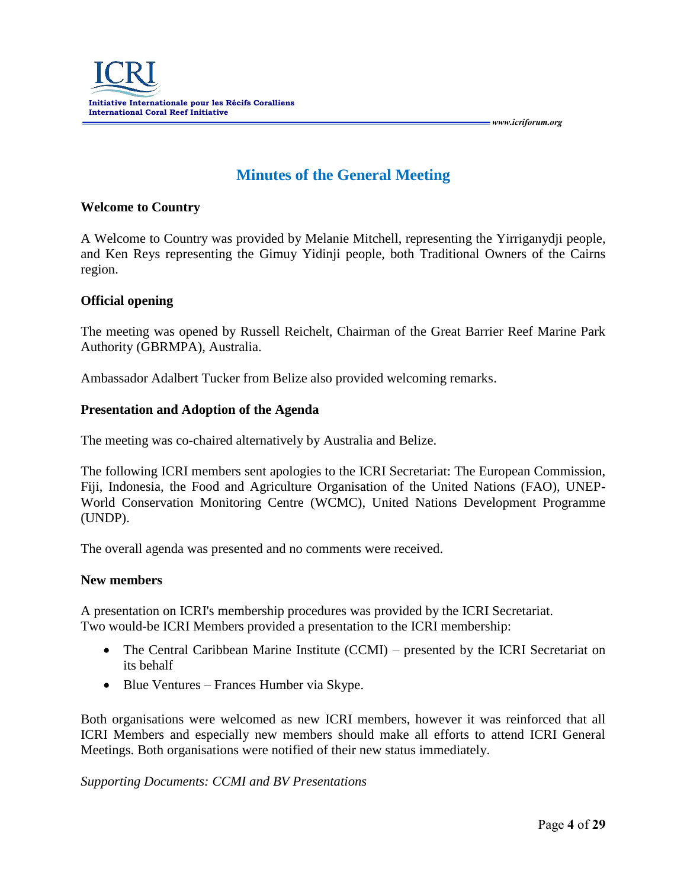

# **Minutes of the General Meeting**

#### **Welcome to Country**

A Welcome to Country was provided by Melanie Mitchell, representing the Yirriganydji people, and Ken Reys representing the Gimuy Yidinji people, both Traditional Owners of the Cairns region.

#### **Official opening**

The meeting was opened by Russell Reichelt, Chairman of the Great Barrier Reef Marine Park Authority (GBRMPA), Australia.

Ambassador Adalbert Tucker from Belize also provided welcoming remarks.

#### **Presentation and Adoption of the Agenda**

The meeting was co-chaired alternatively by Australia and Belize.

The following ICRI members sent apologies to the ICRI Secretariat: The European Commission, Fiji, Indonesia, the Food and Agriculture Organisation of the United Nations (FAO), UNEP-World Conservation Monitoring Centre (WCMC), United Nations Development Programme (UNDP).

The overall agenda was presented and no comments were received.

#### **New members**

A presentation on ICRI's membership procedures was provided by the ICRI Secretariat. Two would-be ICRI Members provided a presentation to the ICRI membership:

- The Central Caribbean Marine Institute (CCMI) presented by the ICRI Secretariat on its behalf
- Blue Ventures Frances Humber via Skype.

Both organisations were welcomed as new ICRI members, however it was reinforced that all ICRI Members and especially new members should make all efforts to attend ICRI General Meetings. Both organisations were notified of their new status immediately.

#### *Supporting Documents: CCMI and BV Presentations*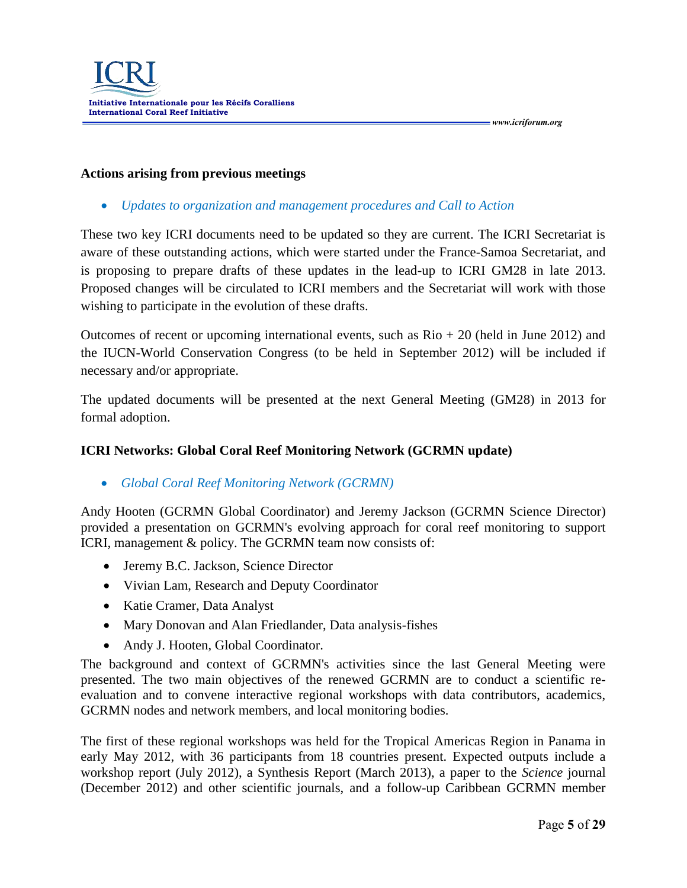#### **Actions arising from previous meetings**

*Updates to organization and management procedures and Call to Action*

These two key ICRI documents need to be updated so they are current. The ICRI Secretariat is aware of these outstanding actions, which were started under the France-Samoa Secretariat, and is proposing to prepare drafts of these updates in the lead-up to ICRI GM28 in late 2013. Proposed changes will be circulated to ICRI members and the Secretariat will work with those wishing to participate in the evolution of these drafts.

Outcomes of recent or upcoming international events, such as  $\text{Rio} + 20$  (held in June 2012) and the IUCN-World Conservation Congress (to be held in September 2012) will be included if necessary and/or appropriate.

The updated documents will be presented at the next General Meeting (GM28) in 2013 for formal adoption.

#### **ICRI Networks: Global Coral Reef Monitoring Network (GCRMN update)**

*Global Coral Reef Monitoring Network (GCRMN)*

Andy Hooten (GCRMN Global Coordinator) and Jeremy Jackson (GCRMN Science Director) provided a presentation on GCRMN's evolving approach for coral reef monitoring to support ICRI, management & policy. The GCRMN team now consists of:

- Jeremy B.C. Jackson, Science Director
- Vivian Lam, Research and Deputy Coordinator
- Katie Cramer, Data Analyst
- Mary Donovan and Alan Friedlander, Data analysis-fishes
- Andy J. Hooten, Global Coordinator.

The background and context of GCRMN's activities since the last General Meeting were presented. The two main objectives of the renewed GCRMN are to conduct a scientific reevaluation and to convene interactive regional workshops with data contributors, academics, GCRMN nodes and network members, and local monitoring bodies.

The first of these regional workshops was held for the Tropical Americas Region in Panama in early May 2012, with 36 participants from 18 countries present. Expected outputs include a workshop report (July 2012), a Synthesis Report (March 2013), a paper to the *Science* journal (December 2012) and other scientific journals, and a follow-up Caribbean GCRMN member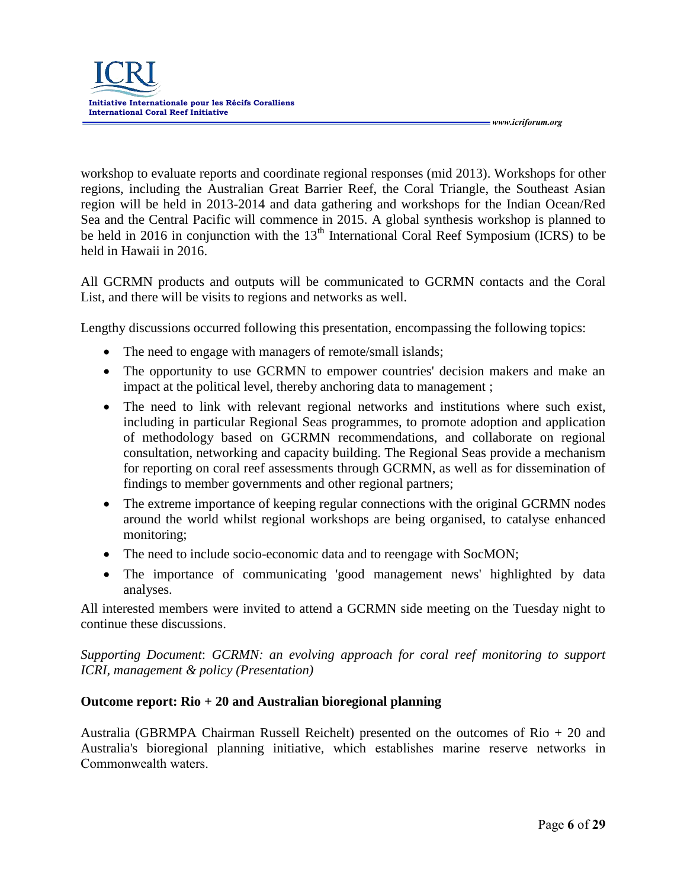

workshop to evaluate reports and coordinate regional responses (mid 2013). Workshops for other regions, including the Australian Great Barrier Reef, the Coral Triangle, the Southeast Asian region will be held in 2013-2014 and data gathering and workshops for the Indian Ocean/Red Sea and the Central Pacific will commence in 2015. A global synthesis workshop is planned to be held in 2016 in conjunction with the  $13<sup>th</sup>$  International Coral Reef Symposium (ICRS) to be held in Hawaii in 2016.

All GCRMN products and outputs will be communicated to GCRMN contacts and the Coral List, and there will be visits to regions and networks as well.

Lengthy discussions occurred following this presentation, encompassing the following topics:

- The need to engage with managers of remote/small islands;
- The opportunity to use GCRMN to empower countries' decision makers and make an impact at the political level, thereby anchoring data to management ;
- The need to link with relevant regional networks and institutions where such exist, including in particular Regional Seas programmes, to promote adoption and application of methodology based on GCRMN recommendations, and collaborate on regional consultation, networking and capacity building. The Regional Seas provide a mechanism for reporting on coral reef assessments through GCRMN, as well as for dissemination of findings to member governments and other regional partners;
- The extreme importance of keeping regular connections with the original GCRMN nodes around the world whilst regional workshops are being organised, to catalyse enhanced monitoring;
- The need to include socio-economic data and to reengage with SocMON;
- The importance of communicating 'good management news' highlighted by data analyses.

All interested members were invited to attend a GCRMN side meeting on the Tuesday night to continue these discussions.

*Supporting Document*: *GCRMN: an evolving approach for coral reef monitoring to support ICRI, management & policy (Presentation)*

#### **Outcome report: Rio + 20 and Australian bioregional planning**

Australia (GBRMPA Chairman Russell Reichelt) presented on the outcomes of Rio + 20 and Australia's bioregional planning initiative, which establishes marine reserve networks in Commonwealth waters.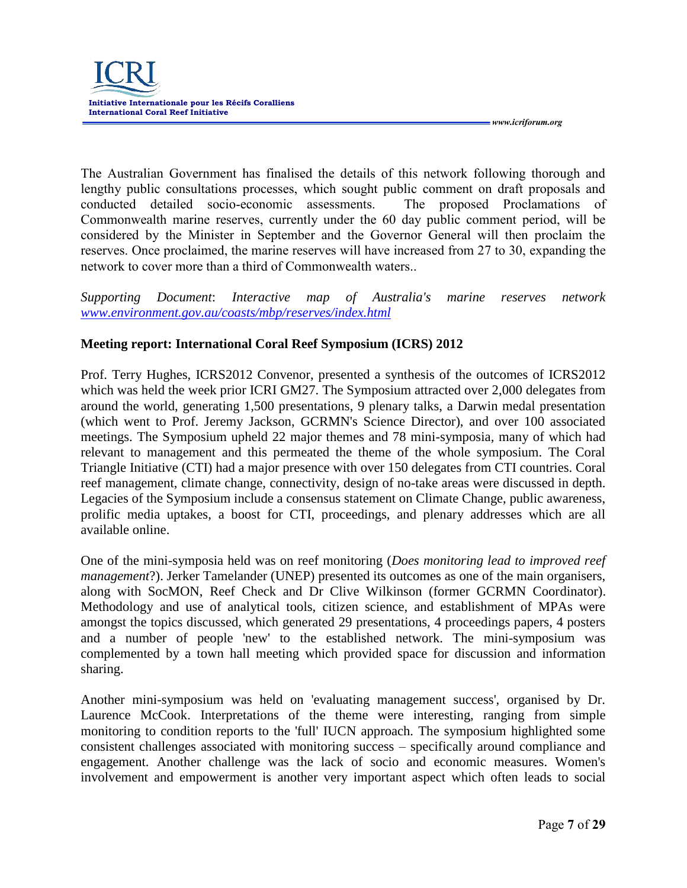

The Australian Government has finalised the details of this network following thorough and lengthy public consultations processes, which sought public comment on draft proposals and conducted detailed socio-economic assessments. The proposed Proclamations of Commonwealth marine reserves, currently under the 60 day public comment period, will be considered by the Minister in September and the Governor General will then proclaim the reserves. Once proclaimed, the marine reserves will have increased from 27 to 30, expanding the network to cover more than a third of Commonwealth waters..

*Supporting Document*: *Interactive map of Australia's marine reserves network [www.environment.gov.au/coasts/mbp/reserves/index.html](http://www.environment.gov.au/coasts/mbp/reserves/index.html)*

#### **Meeting report: International Coral Reef Symposium (ICRS) 2012**

Prof. Terry Hughes, ICRS2012 Convenor, presented a synthesis of the outcomes of ICRS2012 which was held the week prior ICRI GM27. The Symposium attracted over 2,000 delegates from around the world, generating 1,500 presentations, 9 plenary talks, a Darwin medal presentation (which went to Prof. Jeremy Jackson, GCRMN's Science Director), and over 100 associated meetings. The Symposium upheld 22 major themes and 78 mini-symposia, many of which had relevant to management and this permeated the theme of the whole symposium. The Coral Triangle Initiative (CTI) had a major presence with over 150 delegates from CTI countries. Coral reef management, climate change, connectivity, design of no-take areas were discussed in depth. Legacies of the Symposium include a consensus statement on Climate Change, public awareness, prolific media uptakes, a boost for CTI, proceedings, and plenary addresses which are all available online.

One of the mini-symposia held was on reef monitoring (*Does monitoring lead to improved reef management*?). Jerker Tamelander (UNEP) presented its outcomes as one of the main organisers, along with SocMON, Reef Check and Dr Clive Wilkinson (former GCRMN Coordinator). Methodology and use of analytical tools, citizen science, and establishment of MPAs were amongst the topics discussed, which generated 29 presentations, 4 proceedings papers, 4 posters and a number of people 'new' to the established network. The mini-symposium was complemented by a town hall meeting which provided space for discussion and information sharing.

Another mini-symposium was held on 'evaluating management success', organised by Dr. Laurence McCook. Interpretations of the theme were interesting, ranging from simple monitoring to condition reports to the 'full' IUCN approach. The symposium highlighted some consistent challenges associated with monitoring success – specifically around compliance and engagement. Another challenge was the lack of socio and economic measures. Women's involvement and empowerment is another very important aspect which often leads to social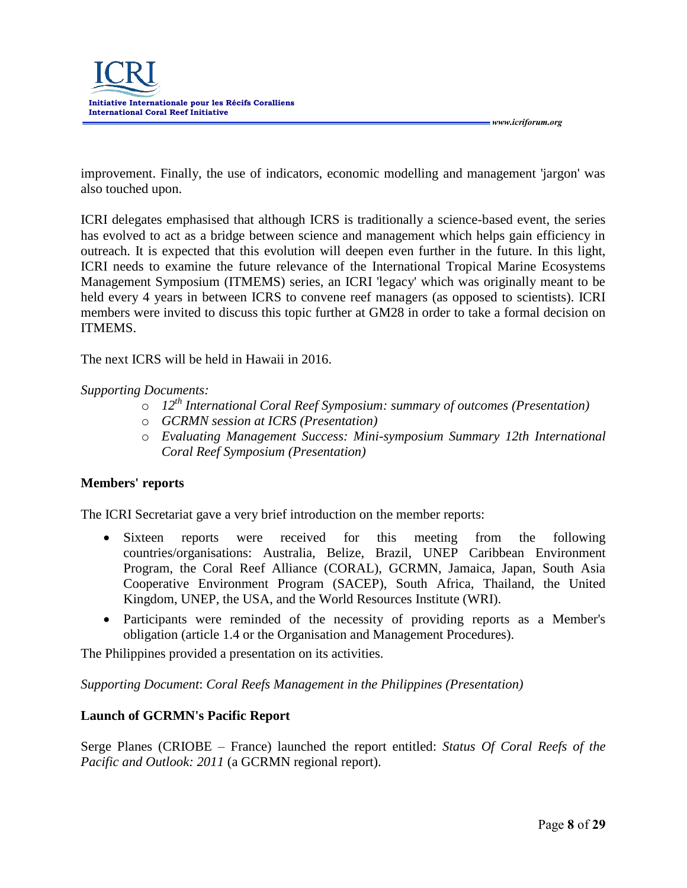

improvement. Finally, the use of indicators, economic modelling and management 'jargon' was also touched upon.

ICRI delegates emphasised that although ICRS is traditionally a science-based event, the series has evolved to act as a bridge between science and management which helps gain efficiency in outreach. It is expected that this evolution will deepen even further in the future. In this light, ICRI needs to examine the future relevance of the International Tropical Marine Ecosystems Management Symposium (ITMEMS) series, an ICRI 'legacy' which was originally meant to be held every 4 years in between ICRS to convene reef managers (as opposed to scientists). ICRI members were invited to discuss this topic further at GM28 in order to take a formal decision on ITMEMS.

The next ICRS will be held in Hawaii in 2016.

#### *Supporting Documents:*

- o *12th International Coral Reef Symposium: summary of outcomes (Presentation)*
- o *GCRMN session at ICRS (Presentation)*
- o *Evaluating Management Success: Mini-symposium Summary 12th International Coral Reef Symposium (Presentation)*

#### **Members' reports**

The ICRI Secretariat gave a very brief introduction on the member reports:

- Sixteen reports were received for this meeting from the following countries/organisations: Australia, Belize, Brazil, UNEP Caribbean Environment Program, the Coral Reef Alliance (CORAL), GCRMN, Jamaica, Japan, South Asia Cooperative Environment Program (SACEP), South Africa, Thailand, the United Kingdom, UNEP, the USA, and the World Resources Institute (WRI).
- Participants were reminded of the necessity of providing reports as a Member's obligation (article 1.4 or the Organisation and Management Procedures).

The Philippines provided a presentation on its activities.

*Supporting Document*: *Coral Reefs Management in the Philippines (Presentation)*

#### **Launch of GCRMN's Pacific Report**

Serge Planes (CRIOBE – France) launched the report entitled: *Status Of Coral Reefs of the Pacific and Outlook: 2011* (a GCRMN regional report).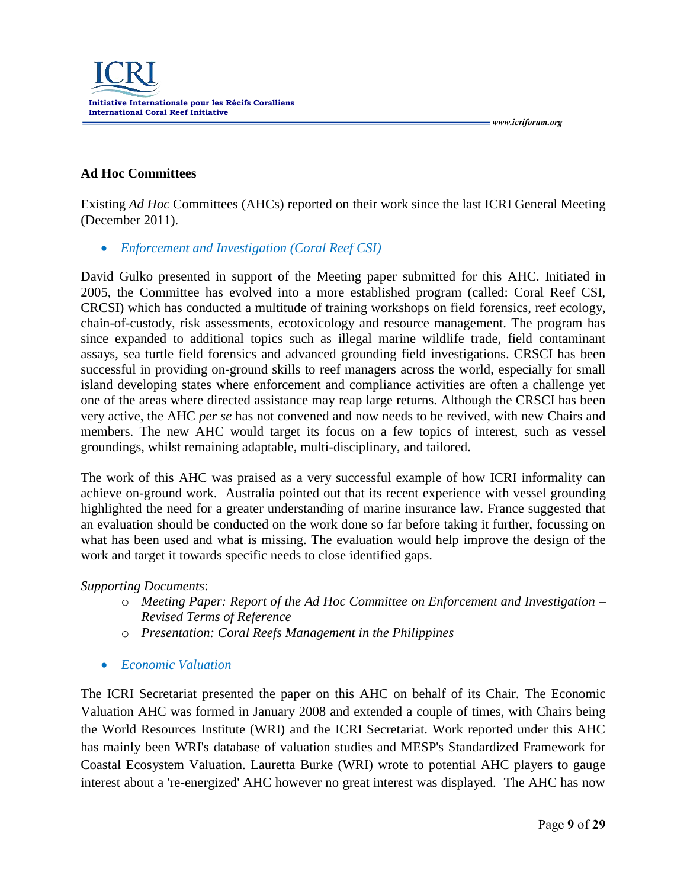

## **Ad Hoc Committees**

Existing *Ad Hoc* Committees (AHCs) reported on their work since the last ICRI General Meeting (December 2011).

*Enforcement and Investigation (Coral Reef CSI)*

David Gulko presented in support of the Meeting paper submitted for this AHC. Initiated in 2005, the Committee has evolved into a more established program (called: Coral Reef CSI, CRCSI) which has conducted a multitude of training workshops on field forensics, reef ecology, chain-of-custody, risk assessments, ecotoxicology and resource management. The program has since expanded to additional topics such as illegal marine wildlife trade, field contaminant assays, sea turtle field forensics and advanced grounding field investigations. CRSCI has been successful in providing on-ground skills to reef managers across the world, especially for small island developing states where enforcement and compliance activities are often a challenge yet one of the areas where directed assistance may reap large returns. Although the CRSCI has been very active, the AHC *per se* has not convened and now needs to be revived, with new Chairs and members. The new AHC would target its focus on a few topics of interest, such as vessel groundings, whilst remaining adaptable, multi-disciplinary, and tailored.

The work of this AHC was praised as a very successful example of how ICRI informality can achieve on-ground work. Australia pointed out that its recent experience with vessel grounding highlighted the need for a greater understanding of marine insurance law. France suggested that an evaluation should be conducted on the work done so far before taking it further, focussing on what has been used and what is missing. The evaluation would help improve the design of the work and target it towards specific needs to close identified gaps.

#### *Supporting Documents*:

- o *Meeting Paper: Report of the Ad Hoc Committee on Enforcement and Investigation – Revised Terms of Reference*
- o *Presentation: Coral Reefs Management in the Philippines*
- *Economic Valuation*

The ICRI Secretariat presented the paper on this AHC on behalf of its Chair. The Economic Valuation AHC was formed in January 2008 and extended a couple of times, with Chairs being the World Resources Institute (WRI) and the ICRI Secretariat. Work reported under this AHC has mainly been WRI's database of valuation studies and MESP's Standardized Framework for Coastal Ecosystem Valuation. Lauretta Burke (WRI) wrote to potential AHC players to gauge interest about a 're-energized' AHC however no great interest was displayed. The AHC has now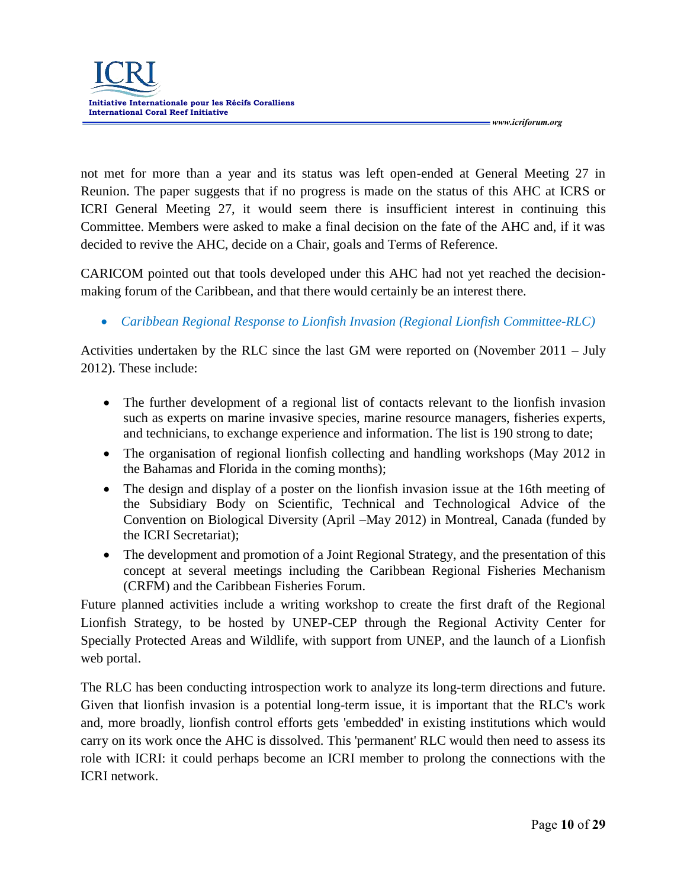

not met for more than a year and its status was left open-ended at General Meeting 27 in Reunion. The paper suggests that if no progress is made on the status of this AHC at ICRS or ICRI General Meeting 27, it would seem there is insufficient interest in continuing this Committee. Members were asked to make a final decision on the fate of the AHC and, if it was decided to revive the AHC, decide on a Chair, goals and Terms of Reference.

CARICOM pointed out that tools developed under this AHC had not yet reached the decisionmaking forum of the Caribbean, and that there would certainly be an interest there.

*Caribbean Regional Response to Lionfish Invasion (Regional Lionfish Committee-RLC)*

Activities undertaken by the RLC since the last GM were reported on (November 2011 – July 2012). These include:

- The further development of a regional list of contacts relevant to the lionfish invasion such as experts on marine invasive species, marine resource managers, fisheries experts, and technicians, to exchange experience and information. The list is 190 strong to date;
- The organisation of regional lionfish collecting and handling workshops (May 2012 in the Bahamas and Florida in the coming months);
- The design and display of a poster on the lionfish invasion issue at the 16th meeting of the Subsidiary Body on Scientific, Technical and Technological Advice of the Convention on Biological Diversity (April –May 2012) in Montreal, Canada (funded by the ICRI Secretariat);
- The development and promotion of a Joint Regional Strategy, and the presentation of this concept at several meetings including the Caribbean Regional Fisheries Mechanism (CRFM) and the Caribbean Fisheries Forum.

Future planned activities include a writing workshop to create the first draft of the Regional Lionfish Strategy, to be hosted by UNEP-CEP through the Regional Activity Center for Specially Protected Areas and Wildlife, with support from UNEP, and the launch of a Lionfish web portal.

The RLC has been conducting introspection work to analyze its long-term directions and future. Given that lionfish invasion is a potential long-term issue, it is important that the RLC's work and, more broadly, lionfish control efforts gets 'embedded' in existing institutions which would carry on its work once the AHC is dissolved. This 'permanent' RLC would then need to assess its role with ICRI: it could perhaps become an ICRI member to prolong the connections with the ICRI network.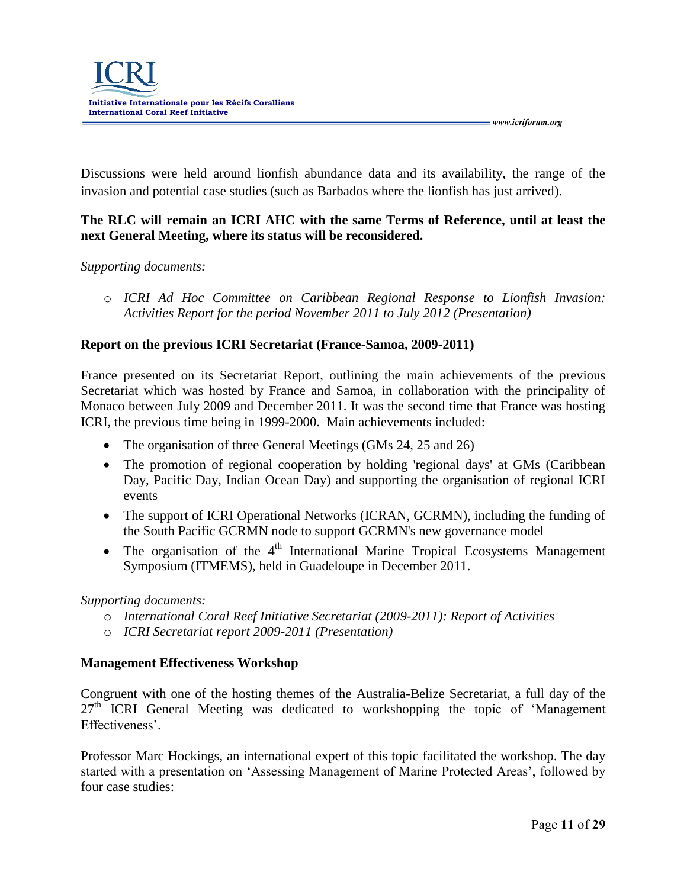Discussions were held around lionfish abundance data and its availability, the range of the invasion and potential case studies (such as Barbados where the lionfish has just arrived).

# **The RLC will remain an ICRI AHC with the same Terms of Reference, until at least the next General Meeting, where its status will be reconsidered.**

#### *Supporting documents:*

o *ICRI Ad Hoc Committee on Caribbean Regional Response to Lionfish Invasion: Activities Report for the period November 2011 to July 2012 (Presentation)* 

## **Report on the previous ICRI Secretariat (France-Samoa, 2009-2011)**

France presented on its Secretariat Report, outlining the main achievements of the previous Secretariat which was hosted by France and Samoa, in collaboration with the principality of Monaco between July 2009 and December 2011. It was the second time that France was hosting ICRI, the previous time being in 1999-2000. Main achievements included:

- The organisation of three General Meetings (GMs 24, 25 and 26)
- The promotion of regional cooperation by holding 'regional days' at GMs (Caribbean Day, Pacific Day, Indian Ocean Day) and supporting the organisation of regional ICRI events
- The support of ICRI Operational Networks (ICRAN, GCRMN), including the funding of the South Pacific GCRMN node to support GCRMN's new governance model
- The organisation of the  $4<sup>th</sup>$  International Marine Tropical Ecosystems Management Symposium (ITMEMS), held in Guadeloupe in December 2011.

#### *Supporting documents:*

- o *International Coral Reef Initiative Secretariat (2009-2011): Report of Activities*
- o *ICRI Secretariat report 2009-2011 (Presentation)*

# **Management Effectiveness Workshop**

Congruent with one of the hosting themes of the Australia-Belize Secretariat, a full day of the  $27<sup>th</sup>$  ICRI General Meeting was dedicated to workshopping the topic of 'Management' Effectiveness'.

Professor Marc Hockings, an international expert of this topic facilitated the workshop. The day started with a presentation on 'Assessing Management of Marine Protected Areas', followed by four case studies: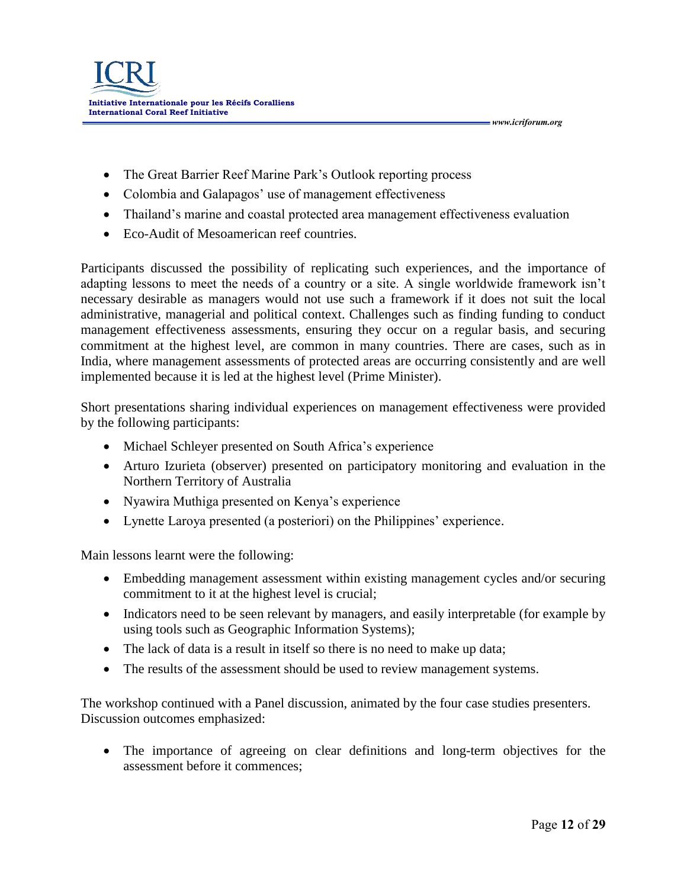- The Great Barrier Reef Marine Park's Outlook reporting process
- Colombia and Galapagos' use of management effectiveness
- Thailand's marine and coastal protected area management effectiveness evaluation
- Eco-Audit of Mesoamerican reef countries.

Participants discussed the possibility of replicating such experiences, and the importance of adapting lessons to meet the needs of a country or a site. A single worldwide framework isn't necessary desirable as managers would not use such a framework if it does not suit the local administrative, managerial and political context. Challenges such as finding funding to conduct management effectiveness assessments, ensuring they occur on a regular basis, and securing commitment at the highest level, are common in many countries. There are cases, such as in India, where management assessments of protected areas are occurring consistently and are well implemented because it is led at the highest level (Prime Minister).

Short presentations sharing individual experiences on management effectiveness were provided by the following participants:

- Michael Schleyer presented on South Africa's experience
- Arturo Izurieta (observer) presented on participatory monitoring and evaluation in the Northern Territory of Australia
- Nyawira Muthiga presented on Kenya's experience
- Lynette Laroya presented (a posteriori) on the Philippines' experience.

Main lessons learnt were the following:

- Embedding management assessment within existing management cycles and/or securing commitment to it at the highest level is crucial;
- Indicators need to be seen relevant by managers, and easily interpretable (for example by using tools such as Geographic Information Systems);
- The lack of data is a result in itself so there is no need to make up data;
- The results of the assessment should be used to review management systems.

The workshop continued with a Panel discussion, animated by the four case studies presenters. Discussion outcomes emphasized:

 The importance of agreeing on clear definitions and long-term objectives for the assessment before it commences;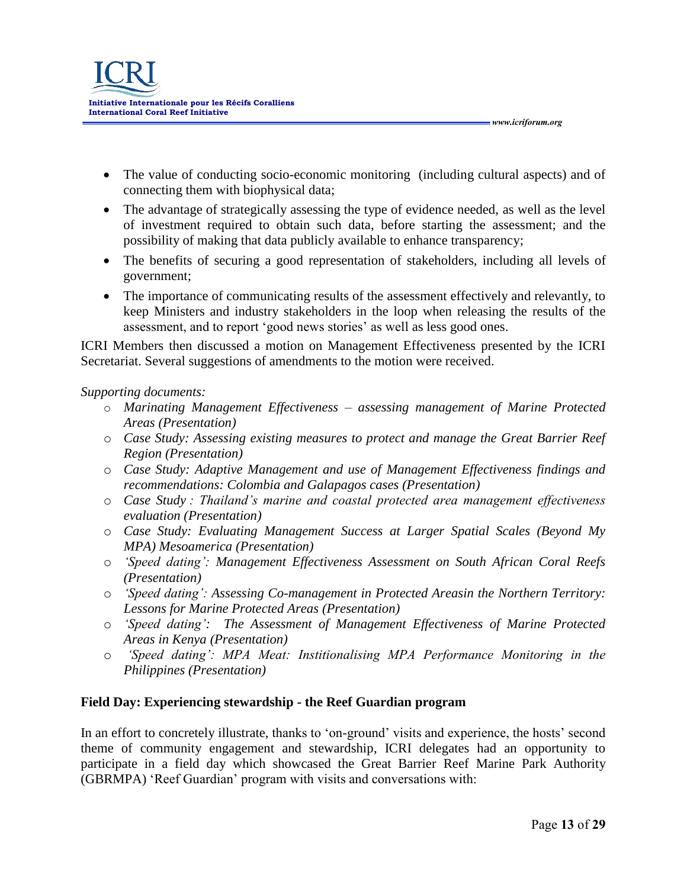

 The value of conducting socio-economic monitoring (including cultural aspects) and of connecting them with biophysical data;

 *www.icriforum.org* 

- The advantage of strategically assessing the type of evidence needed, as well as the level of investment required to obtain such data, before starting the assessment; and the possibility of making that data publicly available to enhance transparency;
- The benefits of securing a good representation of stakeholders, including all levels of government;
- The importance of communicating results of the assessment effectively and relevantly, to keep Ministers and industry stakeholders in the loop when releasing the results of the assessment, and to report 'good news stories' as well as less good ones.

ICRI Members then discussed a motion on Management Effectiveness presented by the ICRI Secretariat. Several suggestions of amendments to the motion were received.

#### *Supporting documents:*

- o *Marinating Management Effectiveness – assessing management of Marine Protected Areas (Presentation)*
- o *Case Study: Assessing existing measures to protect and manage the Great Barrier Reef Region (Presentation)*
- o *Case Study: Adaptive Management and use of Management Effectiveness findings and recommendations: Colombia and Galapagos cases (Presentation)*
- o *Case Study : Thailand's marine and coastal protected area management effectiveness evaluation (Presentation)*
- o *Case Study: Evaluating Management Success at Larger Spatial Scales (Beyond My MPA) Mesoamerica (Presentation)*
- o *'Speed dating': Management Effectiveness Assessment on South African Coral Reefs (Presentation)*
- o *'Speed dating': Assessing Co-management in Protected Areasin the Northern Territory: Lessons for Marine Protected Areas (Presentation)*
- o *'Speed dating': The Assessment of Management Effectiveness of Marine Protected Areas in Kenya (Presentation)*
- o *'Speed dating': MPA Meat: Institionalising MPA Performance Monitoring in the Philippines (Presentation)*

#### **Field Day: Experiencing stewardship - the Reef Guardian program**

In an effort to concretely illustrate, thanks to 'on-ground' visits and experience, the hosts' second theme of community engagement and stewardship, ICRI delegates had an opportunity to participate in a field day which showcased the Great Barrier Reef Marine Park Authority (GBRMPA) 'Reef Guardian' program with visits and conversations with: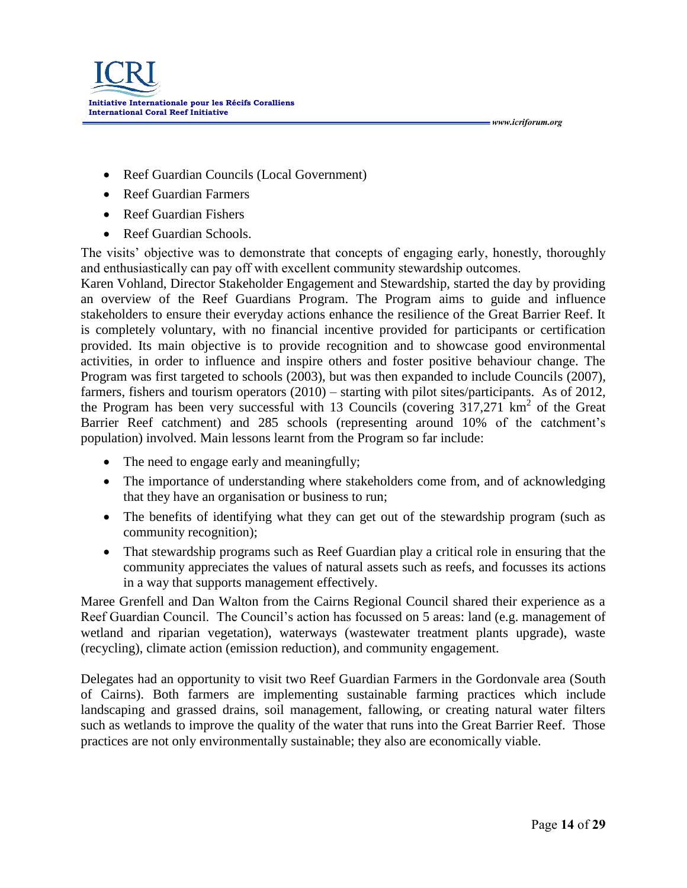- Reef Guardian Councils (Local Government)
- Reef Guardian Farmers
- Reef Guardian Fishers
- Reef Guardian Schools.

The visits' objective was to demonstrate that concepts of engaging early, honestly, thoroughly and enthusiastically can pay off with excellent community stewardship outcomes.

Karen Vohland, Director Stakeholder Engagement and Stewardship, started the day by providing an overview of the Reef Guardians Program. The Program aims to guide and influence stakeholders to ensure their everyday actions enhance the resilience of the Great Barrier Reef. It is completely voluntary, with no financial incentive provided for participants or certification provided. Its main objective is to provide recognition and to showcase good environmental activities, in order to influence and inspire others and foster positive behaviour change. The Program was first targeted to schools (2003), but was then expanded to include Councils (2007), farmers, fishers and tourism operators (2010) – starting with pilot sites/participants. As of 2012, the Program has been very successful with 13 Councils (covering  $317,271$  km<sup>2</sup> of the Great Barrier Reef catchment) and 285 schools (representing around 10% of the catchment's population) involved. Main lessons learnt from the Program so far include:

- The need to engage early and meaningfully;
- The importance of understanding where stakeholders come from, and of acknowledging that they have an organisation or business to run;
- The benefits of identifying what they can get out of the stewardship program (such as community recognition);
- That stewardship programs such as Reef Guardian play a critical role in ensuring that the community appreciates the values of natural assets such as reefs, and focusses its actions in a way that supports management effectively.

Maree Grenfell and Dan Walton from the Cairns Regional Council shared their experience as a Reef Guardian Council. The Council's action has focussed on 5 areas: land (e.g. management of wetland and riparian vegetation), waterways (wastewater treatment plants upgrade), waste (recycling), climate action (emission reduction), and community engagement.

Delegates had an opportunity to visit two Reef Guardian Farmers in the Gordonvale area (South of Cairns). Both farmers are implementing sustainable farming practices which include landscaping and grassed drains, soil management, fallowing, or creating natural water filters such as wetlands to improve the quality of the water that runs into the Great Barrier Reef. Those practices are not only environmentally sustainable; they also are economically viable.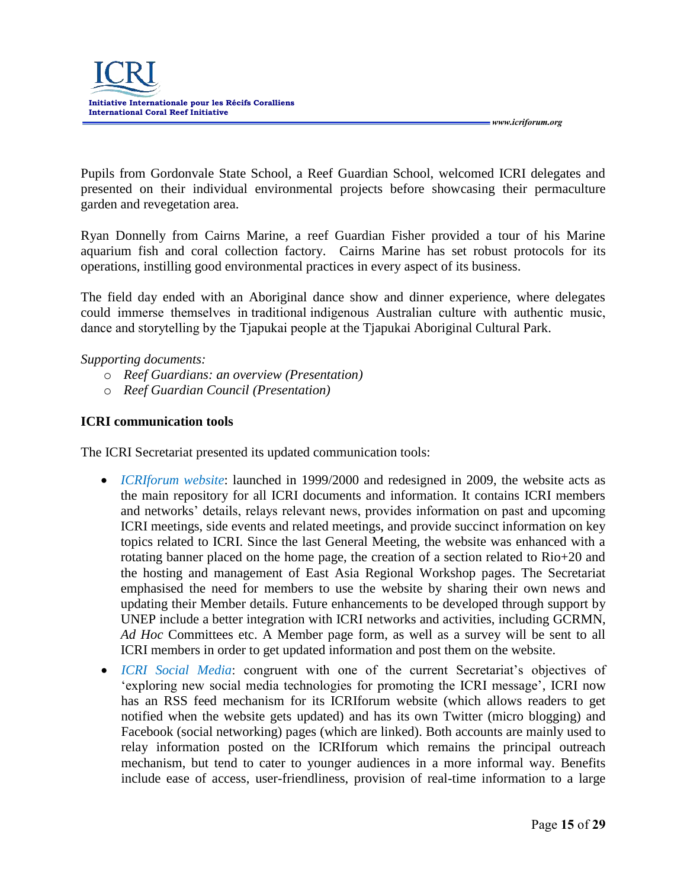

Pupils from Gordonvale State School, a Reef Guardian School, welcomed ICRI delegates and presented on their individual environmental projects before showcasing their permaculture garden and revegetation area.

Ryan Donnelly from Cairns Marine, a reef Guardian Fisher provided a tour of his Marine aquarium fish and coral collection factory. Cairns Marine has set robust protocols for its operations, instilling good environmental practices in every aspect of its business.

The field day ended with an Aboriginal dance show and dinner experience, where delegates could immerse themselves in traditional indigenous Australian culture with authentic music, dance and storytelling by the Tjapukai people at the Tjapukai Aboriginal Cultural Park.

#### *Supporting documents:*

- o *Reef Guardians: an overview (Presentation)*
- o *Reef Guardian Council (Presentation)*

#### **ICRI communication tools**

The ICRI Secretariat presented its updated communication tools:

- *ICRIforum website*: launched in 1999/2000 and redesigned in 2009, the website acts as the main repository for all ICRI documents and information. It contains ICRI members and networks' details, relays relevant news, provides information on past and upcoming ICRI meetings, side events and related meetings, and provide succinct information on key topics related to ICRI. Since the last General Meeting, the website was enhanced with a rotating banner placed on the home page, the creation of a section related to Rio+20 and the hosting and management of East Asia Regional Workshop pages. The Secretariat emphasised the need for members to use the website by sharing their own news and updating their Member details. Future enhancements to be developed through support by UNEP include a better integration with ICRI networks and activities, including GCRMN, *Ad Hoc* Committees etc. A Member page form, as well as a survey will be sent to all ICRI members in order to get updated information and post them on the website.
- *ICRI Social Media*: congruent with one of the current Secretariat's objectives of 'exploring new social media technologies for promoting the ICRI message', ICRI now has an RSS feed mechanism for its ICRIforum website (which allows readers to get notified when the website gets updated) and has its own Twitter (micro blogging) and Facebook (social networking) pages (which are linked). Both accounts are mainly used to relay information posted on the ICRIforum which remains the principal outreach mechanism, but tend to cater to younger audiences in a more informal way. Benefits include ease of access, user-friendliness, provision of real-time information to a large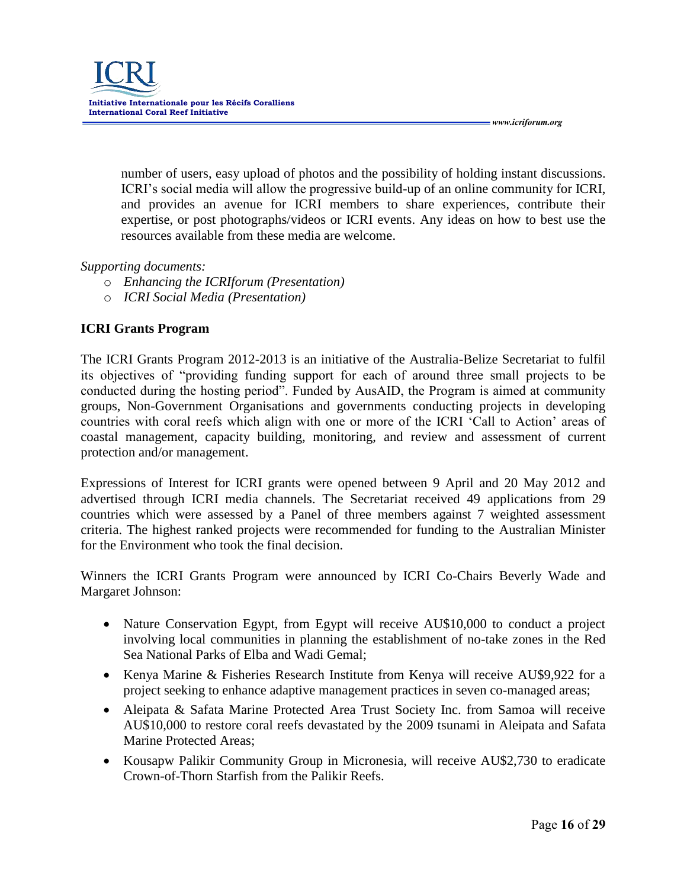number of users, easy upload of photos and the possibility of holding instant discussions. ICRI's social media will allow the progressive build-up of an online community for ICRI, and provides an avenue for ICRI members to share experiences, contribute their expertise, or post photographs/videos or ICRI events. Any ideas on how to best use the resources available from these media are welcome.

#### *Supporting documents:*

- o *Enhancing the ICRIforum (Presentation)*
- o *ICRI Social Media (Presentation)*

## **ICRI Grants Program**

The ICRI Grants Program 2012-2013 is an initiative of the Australia-Belize Secretariat to fulfil its objectives of "providing funding support for each of around three small projects to be conducted during the hosting period". Funded by AusAID, the Program is aimed at community groups, Non-Government Organisations and governments conducting projects in developing countries with coral reefs which align with one or more of the ICRI 'Call to Action' areas of coastal management, capacity building, monitoring, and review and assessment of current protection and/or management.

Expressions of Interest for ICRI grants were opened between 9 April and 20 May 2012 and advertised through ICRI media channels. The Secretariat received 49 applications from 29 countries which were assessed by a Panel of three members against 7 weighted assessment criteria. The highest ranked projects were recommended for funding to the Australian Minister for the Environment who took the final decision.

Winners the ICRI Grants Program were announced by ICRI Co-Chairs Beverly Wade and Margaret Johnson:

- Nature Conservation Egypt, from Egypt will receive AU\$10,000 to conduct a project involving local communities in planning the establishment of no-take zones in the Red Sea National Parks of Elba and Wadi Gemal;
- Kenya Marine & Fisheries Research Institute from Kenya will receive AU\$9,922 for a project seeking to enhance adaptive management practices in seven co-managed areas;
- Aleipata & Safata Marine Protected Area Trust Society Inc. from Samoa will receive AU\$10,000 to restore coral reefs devastated by the 2009 tsunami in Aleipata and Safata Marine Protected Areas;
- Kousapw Palikir Community Group in Micronesia, will receive AU\$2,730 to eradicate Crown-of-Thorn Starfish from the Palikir Reefs.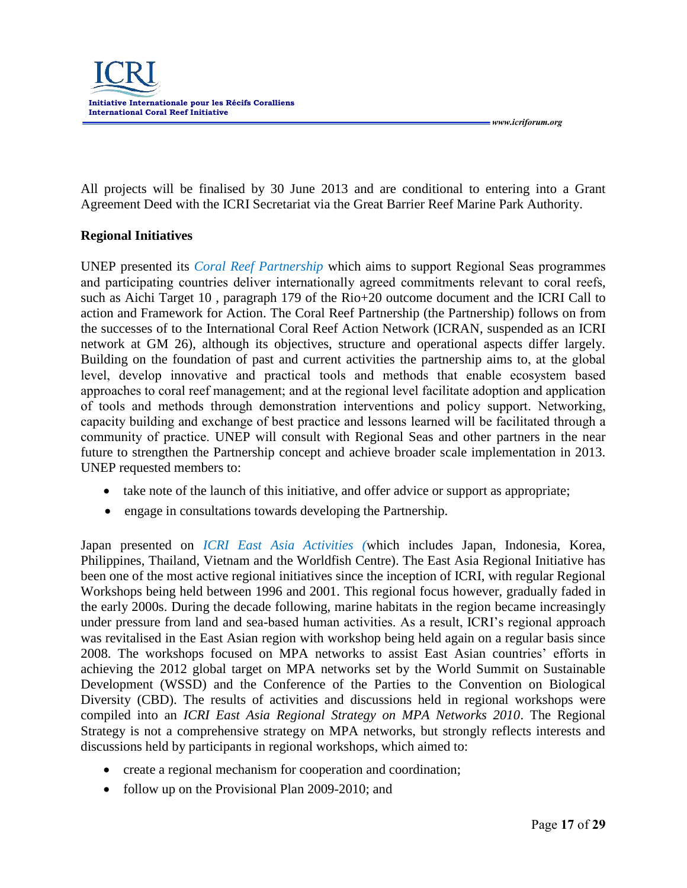

All projects will be finalised by 30 June 2013 and are conditional to entering into a Grant Agreement Deed with the ICRI Secretariat via the Great Barrier Reef Marine Park Authority.

#### **Regional Initiatives**

UNEP presented its *Coral Reef Partnership* which aims to support Regional Seas programmes and participating countries deliver internationally agreed commitments relevant to coral reefs, such as Aichi Target 10 , paragraph 179 of the Rio+20 outcome document and the ICRI Call to action and Framework for Action. The Coral Reef Partnership (the Partnership) follows on from the successes of to the International Coral Reef Action Network (ICRAN, suspended as an ICRI network at GM 26), although its objectives, structure and operational aspects differ largely. Building on the foundation of past and current activities the partnership aims to, at the global level, develop innovative and practical tools and methods that enable ecosystem based approaches to coral reef management; and at the regional level facilitate adoption and application of tools and methods through demonstration interventions and policy support. Networking, capacity building and exchange of best practice and lessons learned will be facilitated through a community of practice. UNEP will consult with Regional Seas and other partners in the near future to strengthen the Partnership concept and achieve broader scale implementation in 2013. UNEP requested members to:

- take note of the launch of this initiative, and offer advice or support as appropriate;
- engage in consultations towards developing the Partnership.

Japan presented on *ICRI East Asia Activities (*which includes Japan, Indonesia, Korea, Philippines, Thailand, Vietnam and the Worldfish Centre). The East Asia Regional Initiative has been one of the most active regional initiatives since the inception of ICRI, with regular Regional Workshops being held between 1996 and 2001. This regional focus however, gradually faded in the early 2000s. During the decade following, marine habitats in the region became increasingly under pressure from land and sea-based human activities. As a result, ICRI's regional approach was revitalised in the East Asian region with workshop being held again on a regular basis since 2008. The workshops focused on MPA networks to assist East Asian countries' efforts in achieving the 2012 global target on MPA networks set by the World Summit on Sustainable Development (WSSD) and the Conference of the Parties to the Convention on Biological Diversity (CBD). The results of activities and discussions held in regional workshops were compiled into an *ICRI East Asia Regional Strategy on MPA Networks 2010*. The Regional Strategy is not a comprehensive strategy on MPA networks, but strongly reflects interests and discussions held by participants in regional workshops, which aimed to:

- create a regional mechanism for cooperation and coordination;
- follow up on the Provisional Plan 2009-2010; and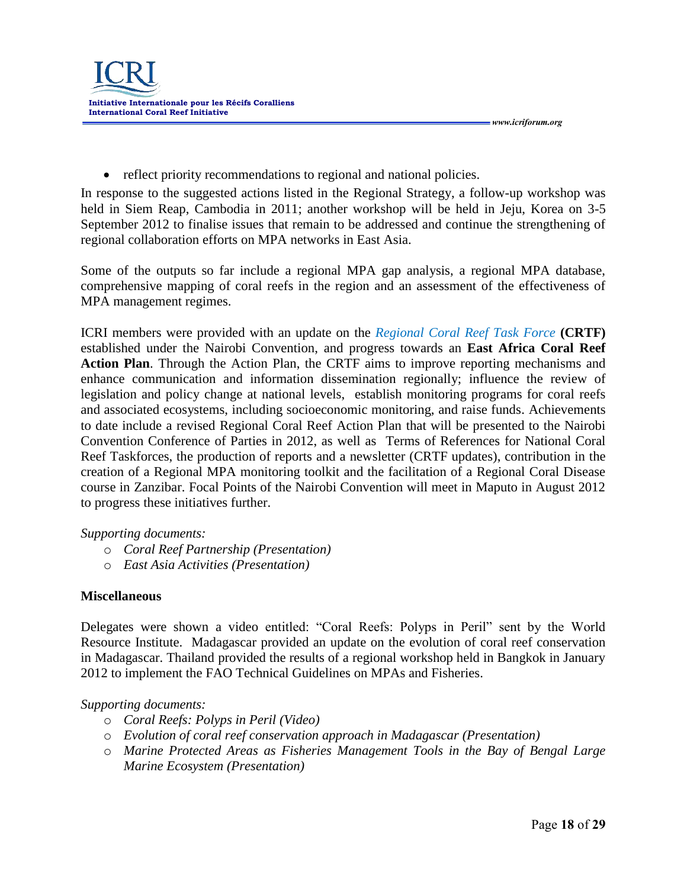

• reflect priority recommendations to regional and national policies.

In response to the suggested actions listed in the Regional Strategy, a follow-up workshop was held in Siem Reap, Cambodia in 2011; another workshop will be held in Jeju, Korea on 3-5 September 2012 to finalise issues that remain to be addressed and continue the strengthening of regional collaboration efforts on MPA networks in East Asia.

Some of the outputs so far include a regional MPA gap analysis, a regional MPA database, comprehensive mapping of coral reefs in the region and an assessment of the effectiveness of MPA management regimes.

ICRI members were provided with an update on the *Regional Coral Reef Task Force* **(CRTF)**  established under the Nairobi Convention, and progress towards an **East Africa Coral Reef Action Plan**. Through the Action Plan, the CRTF aims to improve reporting mechanisms and enhance communication and information dissemination regionally; influence the review of legislation and policy change at national levels, establish monitoring programs for coral reefs and associated ecosystems, including socioeconomic monitoring, and raise funds. Achievements to date include a revised Regional Coral Reef Action Plan that will be presented to the Nairobi Convention Conference of Parties in 2012, as well as Terms of References for National Coral Reef Taskforces, the production of reports and a newsletter (CRTF updates), contribution in the creation of a Regional MPA monitoring toolkit and the facilitation of a Regional Coral Disease course in Zanzibar. Focal Points of the Nairobi Convention will meet in Maputo in August 2012 to progress these initiatives further.

#### *Supporting documents:*

- o *Coral Reef Partnership (Presentation)*
- o *East Asia Activities (Presentation)*

#### **Miscellaneous**

Delegates were shown a video entitled: "Coral Reefs: Polyps in Peril" sent by the World Resource Institute. Madagascar provided an update on the evolution of coral reef conservation in Madagascar. Thailand provided the results of a regional workshop held in Bangkok in January 2012 to implement the FAO Technical Guidelines on MPAs and Fisheries.

#### *Supporting documents:*

- o *Coral Reefs: Polyps in Peril (Video)*
- o *Evolution of coral reef conservation approach in Madagascar (Presentation)*
- o *Marine Protected Areas as Fisheries Management Tools in the Bay of Bengal Large Marine Ecosystem (Presentation)*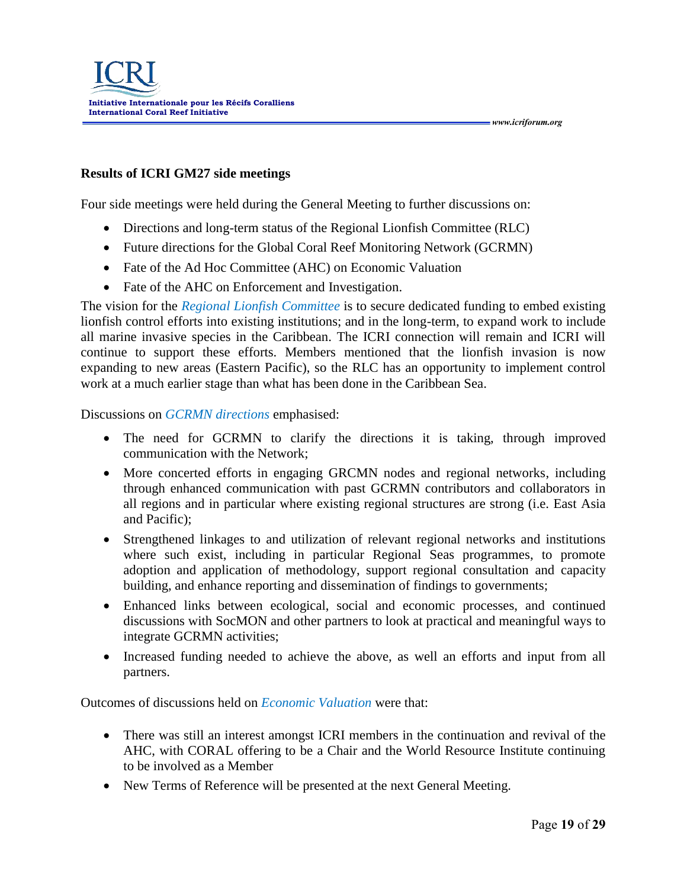#### **Results of ICRI GM27 side meetings**

Four side meetings were held during the General Meeting to further discussions on:

- Directions and long-term status of the Regional Lionfish Committee (RLC)
- Future directions for the Global Coral Reef Monitoring Network (GCRMN)
- Fate of the Ad Hoc Committee (AHC) on Economic Valuation
- Fate of the AHC on Enforcement and Investigation.

The vision for the *Regional Lionfish Committee* is to secure dedicated funding to embed existing lionfish control efforts into existing institutions; and in the long-term, to expand work to include all marine invasive species in the Caribbean. The ICRI connection will remain and ICRI will continue to support these efforts. Members mentioned that the lionfish invasion is now expanding to new areas (Eastern Pacific), so the RLC has an opportunity to implement control work at a much earlier stage than what has been done in the Caribbean Sea.

Discussions on *GCRMN directions* emphasised:

- The need for GCRMN to clarify the directions it is taking, through improved communication with the Network;
- More concerted efforts in engaging GRCMN nodes and regional networks, including through enhanced communication with past GCRMN contributors and collaborators in all regions and in particular where existing regional structures are strong (i.e. East Asia and Pacific);
- Strengthened linkages to and utilization of relevant regional networks and institutions where such exist, including in particular Regional Seas programmes, to promote adoption and application of methodology, support regional consultation and capacity building, and enhance reporting and dissemination of findings to governments;
- Enhanced links between ecological, social and economic processes, and continued discussions with SocMON and other partners to look at practical and meaningful ways to integrate GCRMN activities;
- Increased funding needed to achieve the above, as well an efforts and input from all partners.

Outcomes of discussions held on *Economic Valuation* were that:

- There was still an interest amongst ICRI members in the continuation and revival of the AHC, with CORAL offering to be a Chair and the World Resource Institute continuing to be involved as a Member
- New Terms of Reference will be presented at the next General Meeting.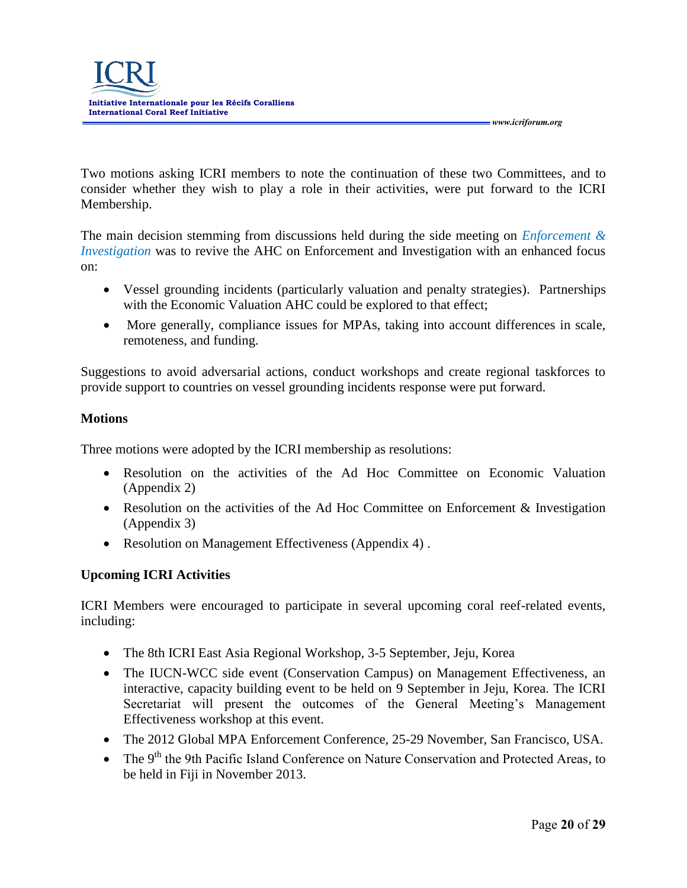Two motions asking ICRI members to note the continuation of these two Committees, and to consider whether they wish to play a role in their activities, were put forward to the ICRI Membership.

The main decision stemming from discussions held during the side meeting on *Enforcement & Investigation* was to revive the AHC on Enforcement and Investigation with an enhanced focus on:

- Vessel grounding incidents (particularly valuation and penalty strategies). Partnerships with the Economic Valuation AHC could be explored to that effect;
- More generally, compliance issues for MPAs, taking into account differences in scale, remoteness, and funding.

Suggestions to avoid adversarial actions, conduct workshops and create regional taskforces to provide support to countries on vessel grounding incidents response were put forward.

# **Motions**

Three motions were adopted by the ICRI membership as resolutions:

- Resolution on the activities of the Ad Hoc Committee on Economic Valuation (Appendix 2)
- Resolution on the activities of the Ad Hoc Committee on Enforcement & Investigation (Appendix 3)
- Resolution on Management Effectiveness (Appendix 4).

# **Upcoming ICRI Activities**

ICRI Members were encouraged to participate in several upcoming coral reef-related events, including:

- The 8th ICRI East Asia Regional Workshop, 3-5 September, Jeju, Korea
- The IUCN-WCC side event (Conservation Campus) on Management Effectiveness, an interactive, capacity building event to be held on 9 September in Jeju, Korea. The ICRI Secretariat will present the outcomes of the General Meeting's Management Effectiveness workshop at this event.
- The 2012 Global MPA Enforcement Conference, 25-29 November, San Francisco, USA.
- The 9<sup>th</sup> the 9th Pacific Island Conference on Nature Conservation and Protected Areas, to be held in Fiji in November 2013.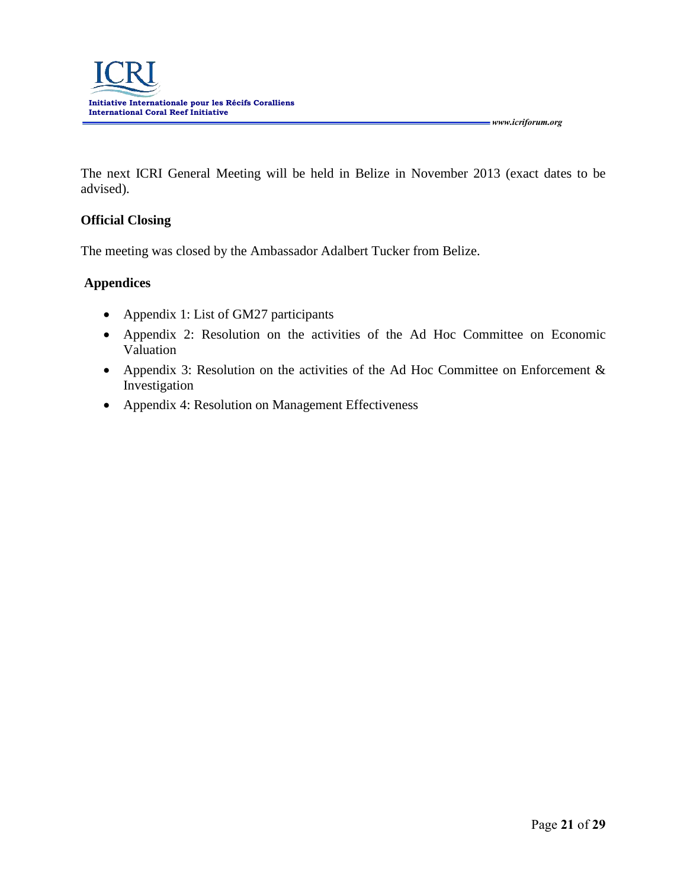The next ICRI General Meeting will be held in Belize in November 2013 (exact dates to be advised).

#### **Official Closing**

The meeting was closed by the Ambassador Adalbert Tucker from Belize.

## **Appendices**

- Appendix 1: List of GM27 participants
- Appendix 2: Resolution on the activities of the Ad Hoc Committee on Economic Valuation
- Appendix 3: Resolution on the activities of the Ad Hoc Committee on Enforcement & Investigation
- Appendix 4: Resolution on Management Effectiveness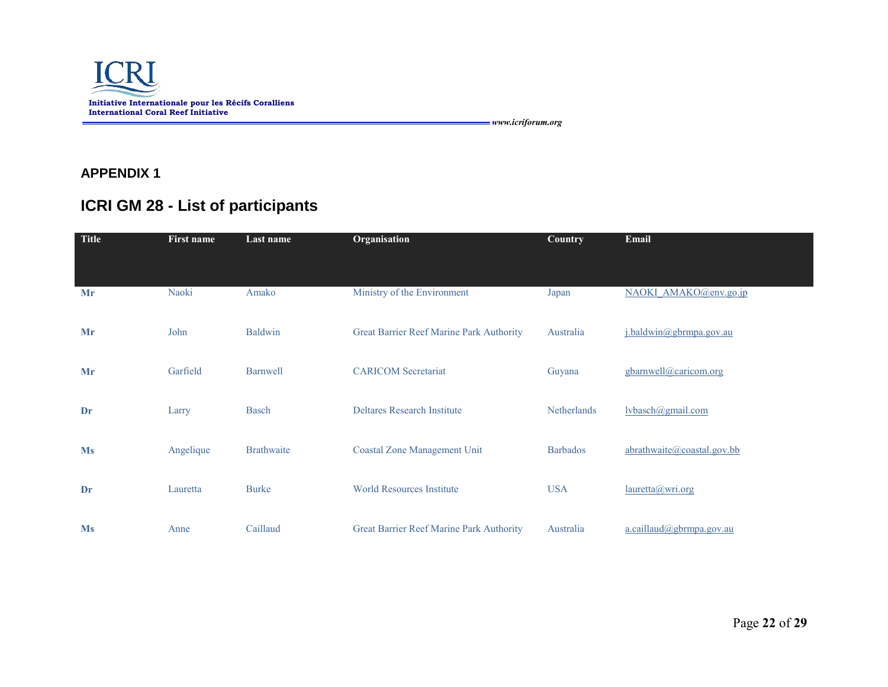

**APPENDIX 1**

# **ICRI GM 28 - List of participants**

| <b>Title</b> | <b>First name</b> | Last name         | Organisation                             | <b>Country</b>     | Email                       |
|--------------|-------------------|-------------------|------------------------------------------|--------------------|-----------------------------|
|              |                   |                   |                                          |                    |                             |
| Mr           | Naoki             | Amako             | Ministry of the Environment              | Japan              | NAOKI AMAKO@env.go.jp       |
| Mr           | John              | <b>Baldwin</b>    | Great Barrier Reef Marine Park Authority | Australia          | j.baldwin@gbrmpa.gov.au     |
| Mr           | Garfield          | <b>Barnwell</b>   | <b>CARICOM</b> Secretariat               | Guyana             | gbarnwell@caricom.org       |
| Dr           | Larry             | <b>Basch</b>      | <b>Deltares Research Institute</b>       | <b>Netherlands</b> | $l\n$ {vbaseh@gmail.com}    |
| <b>Ms</b>    | Angelique         | <b>Brathwaite</b> | <b>Coastal Zone Management Unit</b>      | <b>Barbados</b>    | abrathwaite@coastal.gov.bb  |
| Dr           | Lauretta          | <b>Burke</b>      | <b>World Resources Institute</b>         | <b>USA</b>         | lauretta@/wri.org           |
| <b>Ms</b>    | Anne              | Caillaud          | Great Barrier Reef Marine Park Authority | Australia          | $a.$ caillaud@gbrmpa.gov.au |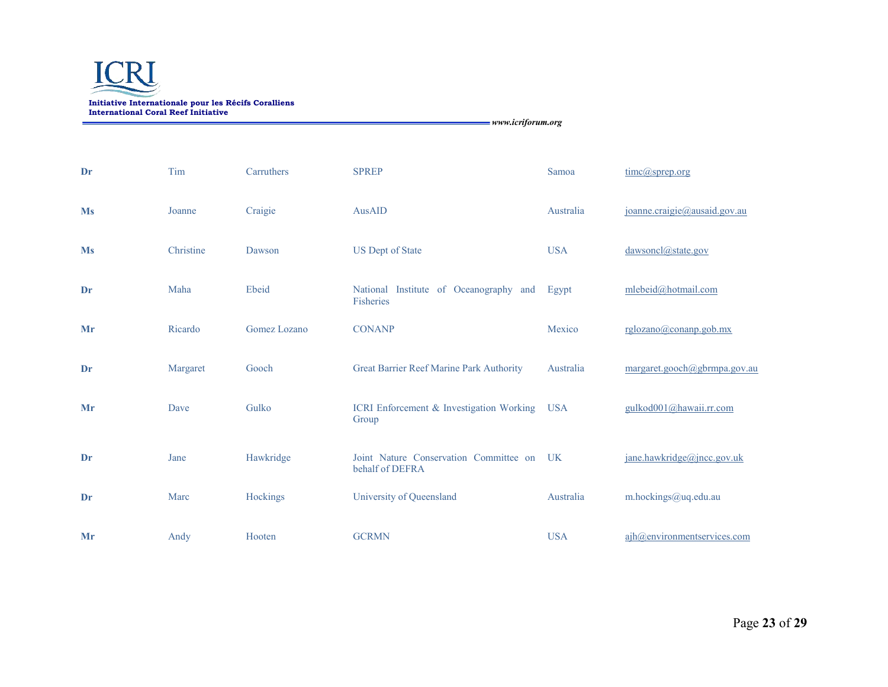

| Dr        | Tim       | Carruthers   | <b>SPREP</b>                                              | Samoa      | $time(a)$ sprep.org          |
|-----------|-----------|--------------|-----------------------------------------------------------|------------|------------------------------|
| <b>Ms</b> | Joanne    | Craigie      | AusAID                                                    | Australia  | joanne.craigie@ausaid.gov.au |
| <b>Ms</b> | Christine | Dawson       | <b>US Dept of State</b>                                   | <b>USA</b> | dawsoncl@state.gov           |
| Dr        | Maha      | Ebeid        | National Institute of Oceanography and<br>Fisheries       | Egypt      | mlebeid@hotmail.com          |
| Mr        | Ricardo   | Gomez Lozano | <b>CONANP</b>                                             | Mexico     | rglozano@conamp.gov.mx       |
| Dr        | Margaret  | Gooch        | Great Barrier Reef Marine Park Authority                  | Australia  | margaret.gooch@gbrmpa.gov.au |
| Mr        | Dave      | Gulko        | ICRI Enforcement & Investigation Working USA<br>Group     |            | gulkod001@hawaii.rr.com      |
| Dr        | Jane      | Hawkridge    | Joint Nature Conservation Committee on<br>behalf of DEFRA | UK         | jane.hawkridge@jncc.gov.uk   |
| Dr        | Marc      | Hockings     | University of Queensland                                  | Australia  | m.hockings@uq.edu.au         |
| Mr        | Andy      | Hooten       | <b>GCRMN</b>                                              | <b>USA</b> | ajh@environmentservices.com  |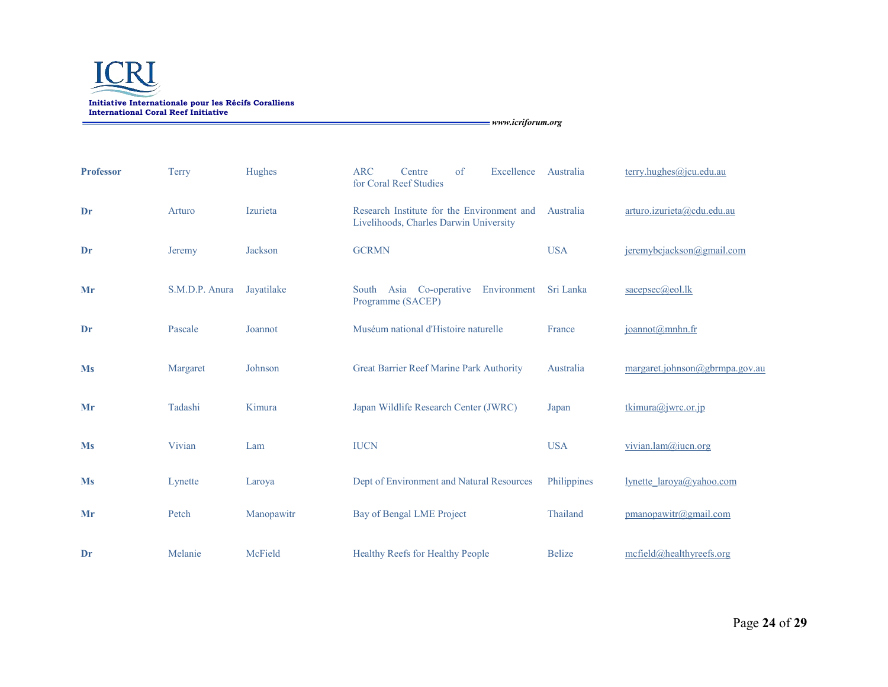

| <b>Professor</b> | <b>Terry</b>   | Hughes         | <b>ARC</b><br>of<br>Excellence<br>Centre<br>for Coral Reef Studies                   | Australia     | terry.hughes@jcu.edu.au        |
|------------------|----------------|----------------|--------------------------------------------------------------------------------------|---------------|--------------------------------|
| Dr               | Arturo         | Izurieta       | Research Institute for the Environment and<br>Livelihoods, Charles Darwin University | Australia     | arturo.izurieta@cdu.edu.au     |
| Dr               | Jeremy         | <b>Jackson</b> | <b>GCRMN</b>                                                                         | <b>USA</b>    | jeremybcjackson@gmail.com      |
| Mr               | S.M.D.P. Anura | Jayatilake     | South Asia Co-operative<br>Environment<br>Programme (SACEP)                          | Sri Lanka     | sacepsec@eol.lk                |
| Dr               | Pascale        | Joannot        | Muséum national d'Histoire naturelle                                                 | France        | joannot@mnhn.fr                |
| <b>Ms</b>        | Margaret       | Johnson        | Great Barrier Reef Marine Park Authority                                             | Australia     | margaret.johnson@gbrmpa.gov.au |
| Mr               | Tadashi        | Kimura         | Japan Wildlife Research Center (JWRC)                                                | Japan         | tkimura@jwrc.or.jp             |
| <b>Ms</b>        | Vivian         | Lam            | <b>IUCN</b>                                                                          | <b>USA</b>    | vivian.lam@iucn.org            |
| <b>Ms</b>        | Lynette        | Laroya         | Dept of Environment and Natural Resources                                            | Philippines   | lynette laroya@yahoo.com       |
| Mr               | Petch          | Manopawitr     | Bay of Bengal LME Project                                                            | Thailand      | pmanopawitr@gmail.com          |
| Dr               | Melanie        | McField        | Healthy Reefs for Healthy People                                                     | <b>Belize</b> | mcfield@healthyreefs.org       |

Page **24** of **29**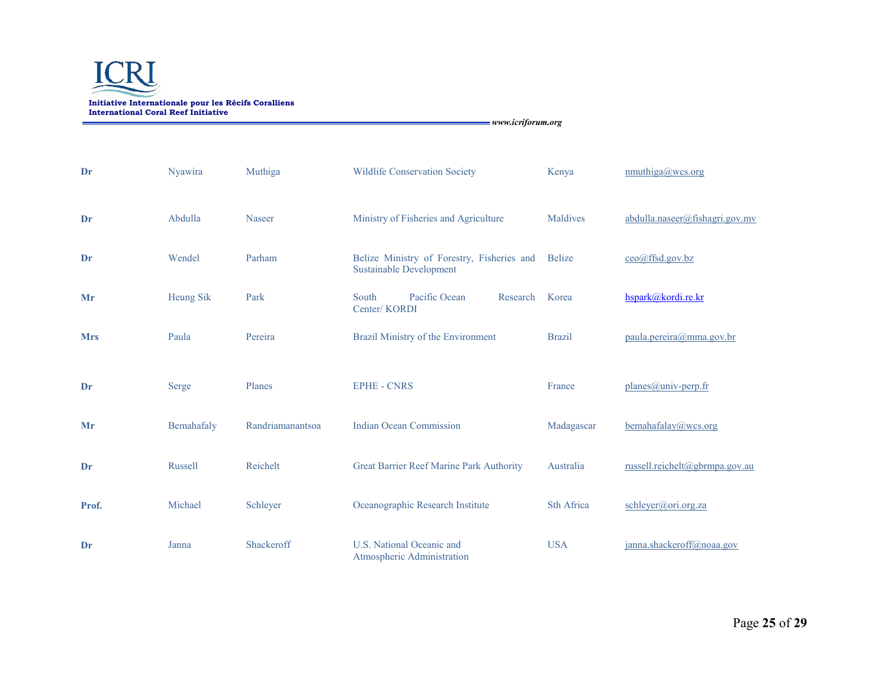

| Dr         | Nyawira        | Muthiga          | <b>Wildlife Conservation Society</b>                                         | Kenya             | mmuthiga@wcs.org               |
|------------|----------------|------------------|------------------------------------------------------------------------------|-------------------|--------------------------------|
| Dr         | Abdulla        | <b>Naseer</b>    | Ministry of Fisheries and Agriculture                                        | Maldives          | abdulla.naseer@fishagri.gov.mv |
| Dr         | Wendel         | Parham           | Belize Ministry of Forestry, Fisheries and<br><b>Sustainable Development</b> | <b>Belize</b>     | $ceo(a)$ ffsd.gov.bz           |
| Mr         | Heung Sik      | Park             | Pacific Ocean<br>South<br>Research<br>Center/KORDI                           | Korea             | hspark@kordi.re.kr             |
| <b>Mrs</b> | Paula          | Pereira          | Brazil Ministry of the Environment                                           | <b>Brazil</b>     | paula.pereira@mma.gov.br       |
| Dr         | Serge          | Planes           | <b>EPHE - CNRS</b>                                                           | France            | planes@univ-perp.fr            |
| Mr         | Bemahafaly     | Randriamanantsoa | <b>Indian Ocean Commission</b>                                               | Madagascar        | $b$ emahafalay@wcs.org         |
| Dr         | <b>Russell</b> | Reichelt         | Great Barrier Reef Marine Park Authority                                     | Australia         | russell.reichelt@gbrmpa.gov.au |
| Prof.      | Michael        | Schleyer         | Oceanographic Research Institute                                             | <b>Sth Africa</b> | schleyer@ori.org.za            |
| Dr         | Janna          | Shackeroff       | U.S. National Oceanic and<br>Atmospheric Administration                      | <b>USA</b>        | janna.shackeroff@noaa.gov      |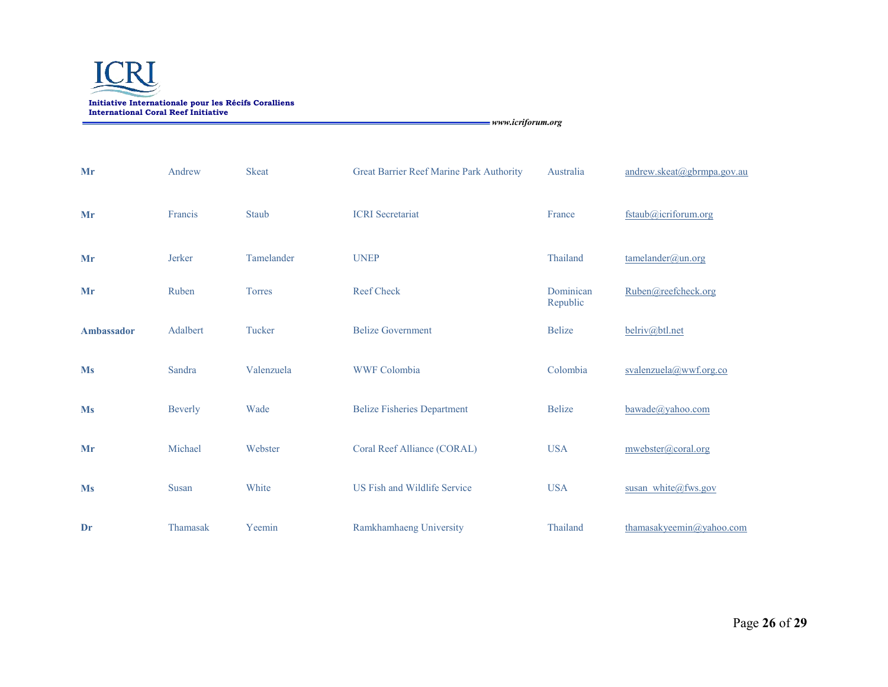

| Mr         | Andrew         | <b>Skeat</b>  | Great Barrier Reef Marine Park Authority | Australia             | andrew.skeat@gbrmpa.gov.au |
|------------|----------------|---------------|------------------------------------------|-----------------------|----------------------------|
| Mr         | Francis        | Staub         | <b>ICRI</b> Secretariat                  | France                | fstaub@icriforum.org       |
| Mr         | Jerker         | Tamelander    | <b>UNEP</b>                              | Thailand              | tamelander@un.org          |
| Mr         | Ruben          | <b>Torres</b> | <b>Reef Check</b>                        | Dominican<br>Republic | Ruben@reefcheck.org        |
| Ambassador | Adalbert       | Tucker        | <b>Belize Government</b>                 | <b>Belize</b>         | belriv@btl.net             |
| <b>Ms</b>  | Sandra         | Valenzuela    | <b>WWF Colombia</b>                      | Colombia              | svalenzuela@wwf.org.co     |
| <b>Ms</b>  | <b>Beverly</b> | Wade          | <b>Belize Fisheries Department</b>       | <b>Belize</b>         | bawade@yahoo.com           |
| Mr         | Michael        | Webster       | Coral Reef Alliance (CORAL)              | <b>USA</b>            | mwebster@coral.org         |
| <b>Ms</b>  | Susan          | White         | US Fish and Wildlife Service             | <b>USA</b>            | susan white@fws.gov        |
| Dr         | Thamasak       | Yeemin        | Ramkhamhaeng University                  | Thailand              | thamasakyeemin@yahoo.com   |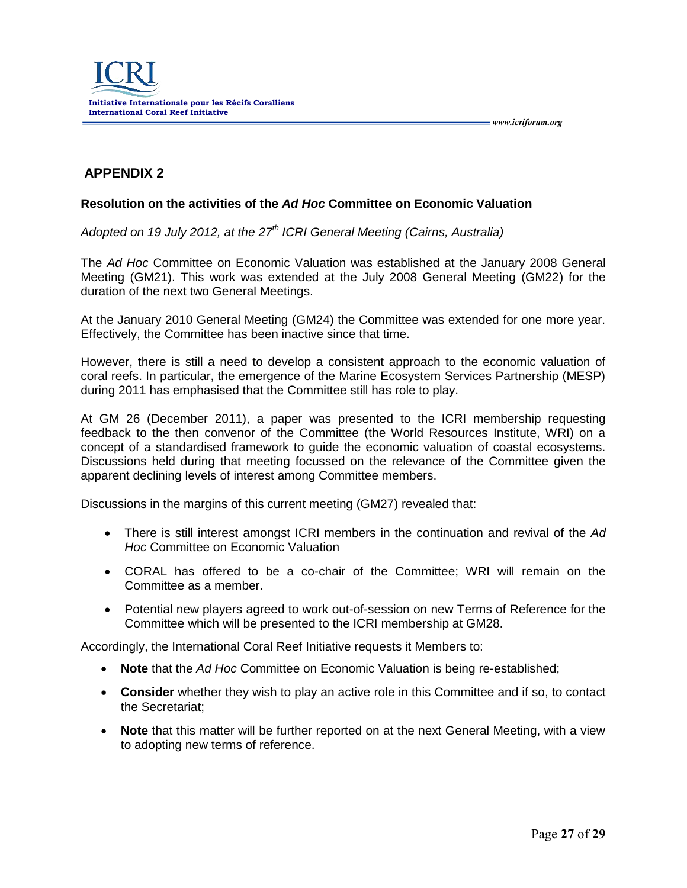

# **APPENDIX 2**

#### **Resolution on the activities of the** *Ad Hoc* **Committee on Economic Valuation**

*Adopted on 19 July 2012, at the 27 th ICRI General Meeting (Cairns, Australia)*

The *Ad Hoc* Committee on Economic Valuation was established at the January 2008 General Meeting (GM21). This work was extended at the July 2008 General Meeting (GM22) for the duration of the next two General Meetings.

At the January 2010 General Meeting (GM24) the Committee was extended for one more year. Effectively, the Committee has been inactive since that time.

However, there is still a need to develop a consistent approach to the economic valuation of coral reefs. In particular, the emergence of the Marine Ecosystem Services Partnership (MESP) during 2011 has emphasised that the Committee still has role to play.

At GM 26 (December 2011), a paper was presented to the ICRI membership requesting feedback to the then convenor of the Committee (the World Resources Institute, WRI) on a concept of a standardised framework to guide the economic valuation of coastal ecosystems. Discussions held during that meeting focussed on the relevance of the Committee given the apparent declining levels of interest among Committee members.

Discussions in the margins of this current meeting (GM27) revealed that:

- There is still interest amongst ICRI members in the continuation and revival of the *Ad Hoc* Committee on Economic Valuation
- CORAL has offered to be a co-chair of the Committee; WRI will remain on the Committee as a member.
- Potential new players agreed to work out-of-session on new Terms of Reference for the Committee which will be presented to the ICRI membership at GM28.

Accordingly, the International Coral Reef Initiative requests it Members to:

- **Note** that the *Ad Hoc* Committee on Economic Valuation is being re-established;
- **Consider** whether they wish to play an active role in this Committee and if so, to contact the Secretariat;
- **Note** that this matter will be further reported on at the next General Meeting, with a view to adopting new terms of reference.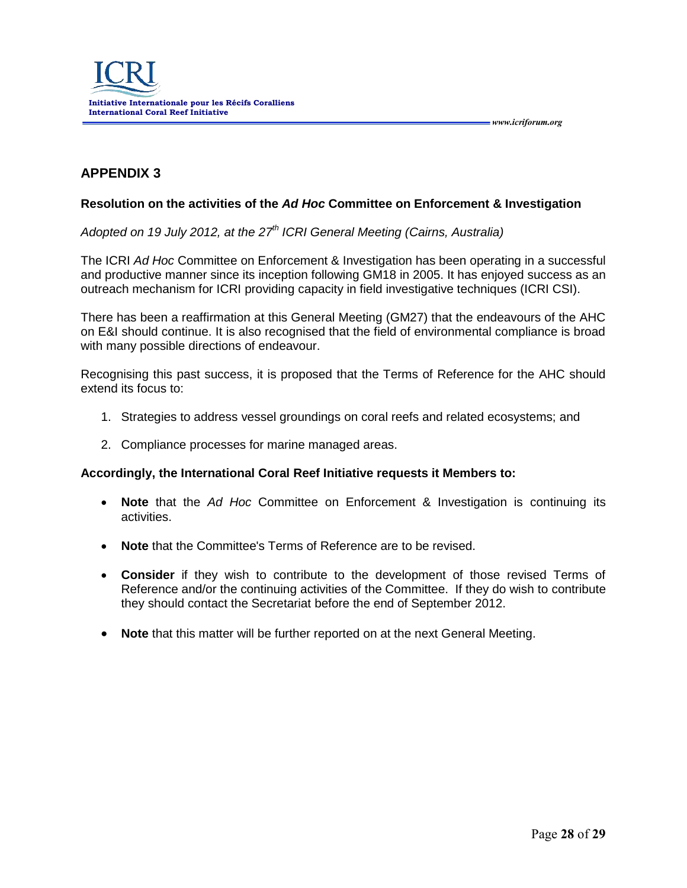

# **APPENDIX 3**

#### **Resolution on the activities of the** *Ad Hoc* **Committee on Enforcement & Investigation**

*Adopted on 19 July 2012, at the 27 th ICRI General Meeting (Cairns, Australia)*

The ICRI *Ad Hoc* Committee on Enforcement & Investigation has been operating in a successful and productive manner since its inception following GM18 in 2005. It has enjoyed success as an outreach mechanism for ICRI providing capacity in field investigative techniques (ICRI CSI).

There has been a reaffirmation at this General Meeting (GM27) that the endeavours of the AHC on E&I should continue. It is also recognised that the field of environmental compliance is broad with many possible directions of endeavour.

Recognising this past success, it is proposed that the Terms of Reference for the AHC should extend its focus to:

- 1. Strategies to address vessel groundings on coral reefs and related ecosystems; and
- 2. Compliance processes for marine managed areas.

#### **Accordingly, the International Coral Reef Initiative requests it Members to:**

- **Note** that the *Ad Hoc* Committee on Enforcement & Investigation is continuing its activities.
- **Note** that the Committee's Terms of Reference are to be revised.
- **Consider** if they wish to contribute to the development of those revised Terms of Reference and/or the continuing activities of the Committee. If they do wish to contribute they should contact the Secretariat before the end of September 2012.
- **Note** that this matter will be further reported on at the next General Meeting.